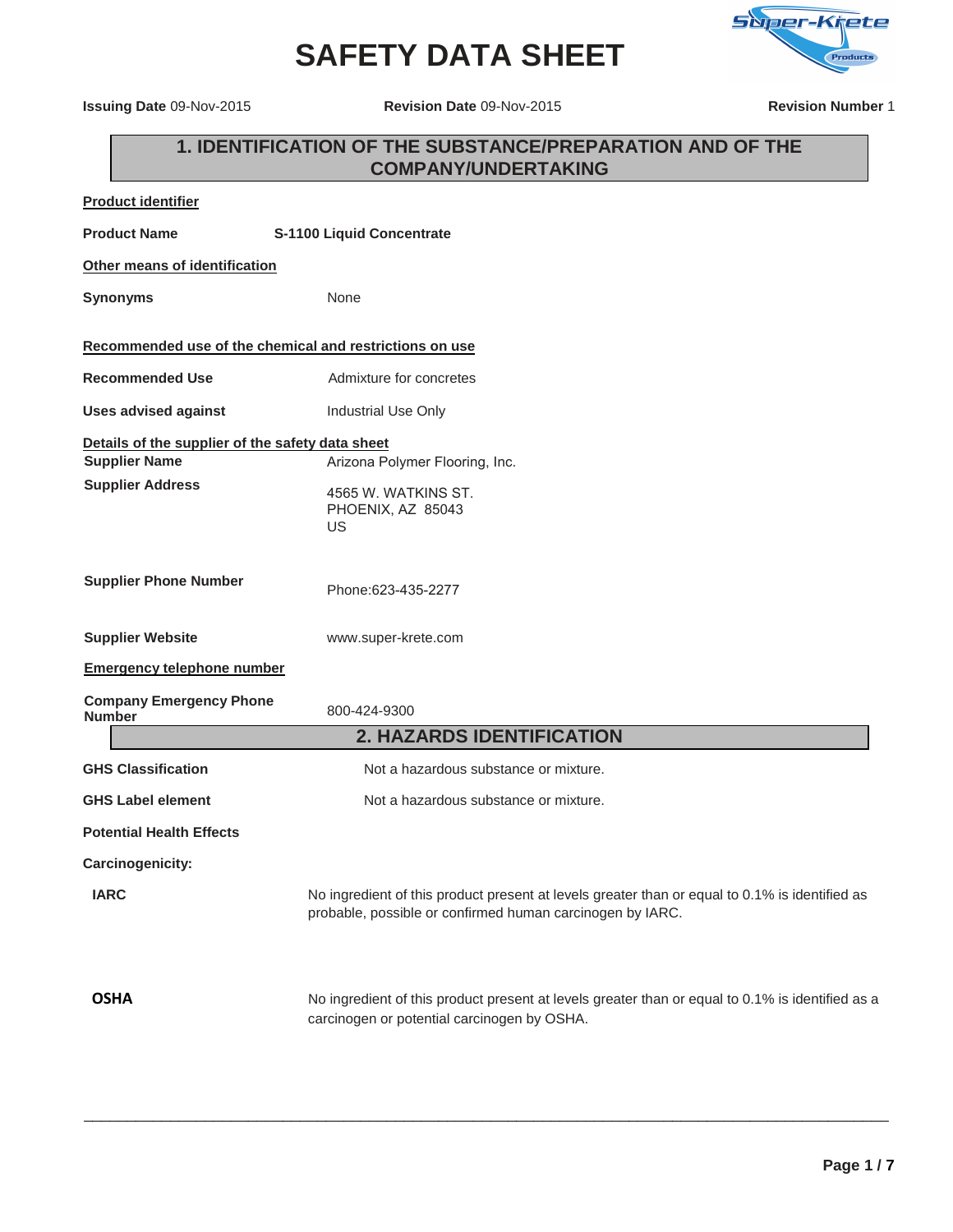# **SAFETY DATA SHEET**



**Issuing Date** 09-Nov-2015 **Revision Date** 09-Nov-2015 **Revision Number** 1

| 1. IDENTIFICATION OF THE SUBSTANCE/PREPARATION AND OF THE<br><b>COMPANY/UNDERTAKING</b> |                                                                                                                                                             |  |
|-----------------------------------------------------------------------------------------|-------------------------------------------------------------------------------------------------------------------------------------------------------------|--|
| <b>Product identifier</b>                                                               |                                                                                                                                                             |  |
| <b>Product Name</b>                                                                     | S-1100 Liquid Concentrate                                                                                                                                   |  |
| Other means of identification                                                           |                                                                                                                                                             |  |
| <b>Synonyms</b>                                                                         | None                                                                                                                                                        |  |
|                                                                                         | Recommended use of the chemical and restrictions on use                                                                                                     |  |
| <b>Recommended Use</b>                                                                  | Admixture for concretes                                                                                                                                     |  |
| <b>Uses advised against</b>                                                             | Industrial Use Only                                                                                                                                         |  |
| Details of the supplier of the safety data sheet                                        |                                                                                                                                                             |  |
| <b>Supplier Name</b>                                                                    | Arizona Polymer Flooring, Inc.                                                                                                                              |  |
| <b>Supplier Address</b>                                                                 | 4565 W. WATKINS ST.<br>PHOENIX, AZ 85043<br>US                                                                                                              |  |
| <b>Supplier Phone Number</b>                                                            | Phone: 623-435-2277                                                                                                                                         |  |
| <b>Supplier Website</b>                                                                 | www.super-krete.com                                                                                                                                         |  |
| <b>Emergency telephone number</b>                                                       |                                                                                                                                                             |  |
| <b>Company Emergency Phone</b><br><b>Number</b>                                         | 800-424-9300                                                                                                                                                |  |
|                                                                                         | <b>2. HAZARDS IDENTIFICATION</b>                                                                                                                            |  |
| <b>GHS Classification</b>                                                               | Not a hazardous substance or mixture.                                                                                                                       |  |
| <b>GHS Label element</b>                                                                | Not a hazardous substance or mixture.                                                                                                                       |  |
| <b>Potential Health Effects</b>                                                         |                                                                                                                                                             |  |
| Carcinogenicity:                                                                        |                                                                                                                                                             |  |
| <b>IARC</b>                                                                             | No ingredient of this product present at levels greater than or equal to 0.1% is identified as<br>probable, possible or confirmed human carcinogen by IARC. |  |

\_\_\_\_\_\_\_\_\_\_\_\_\_\_\_\_\_\_\_\_\_\_\_\_\_\_\_\_\_\_\_\_\_\_\_\_\_\_\_\_\_\_\_\_\_\_\_\_\_\_\_\_\_\_\_\_\_\_\_\_\_\_\_\_\_\_\_\_\_\_\_\_\_\_\_\_\_\_\_\_\_\_\_\_\_\_\_\_\_\_\_\_\_

**OSHA** No ingredient of this product present at levels greater than or equal to 0.1% is identified as a carcinogen or potential carcinogen by OSHA.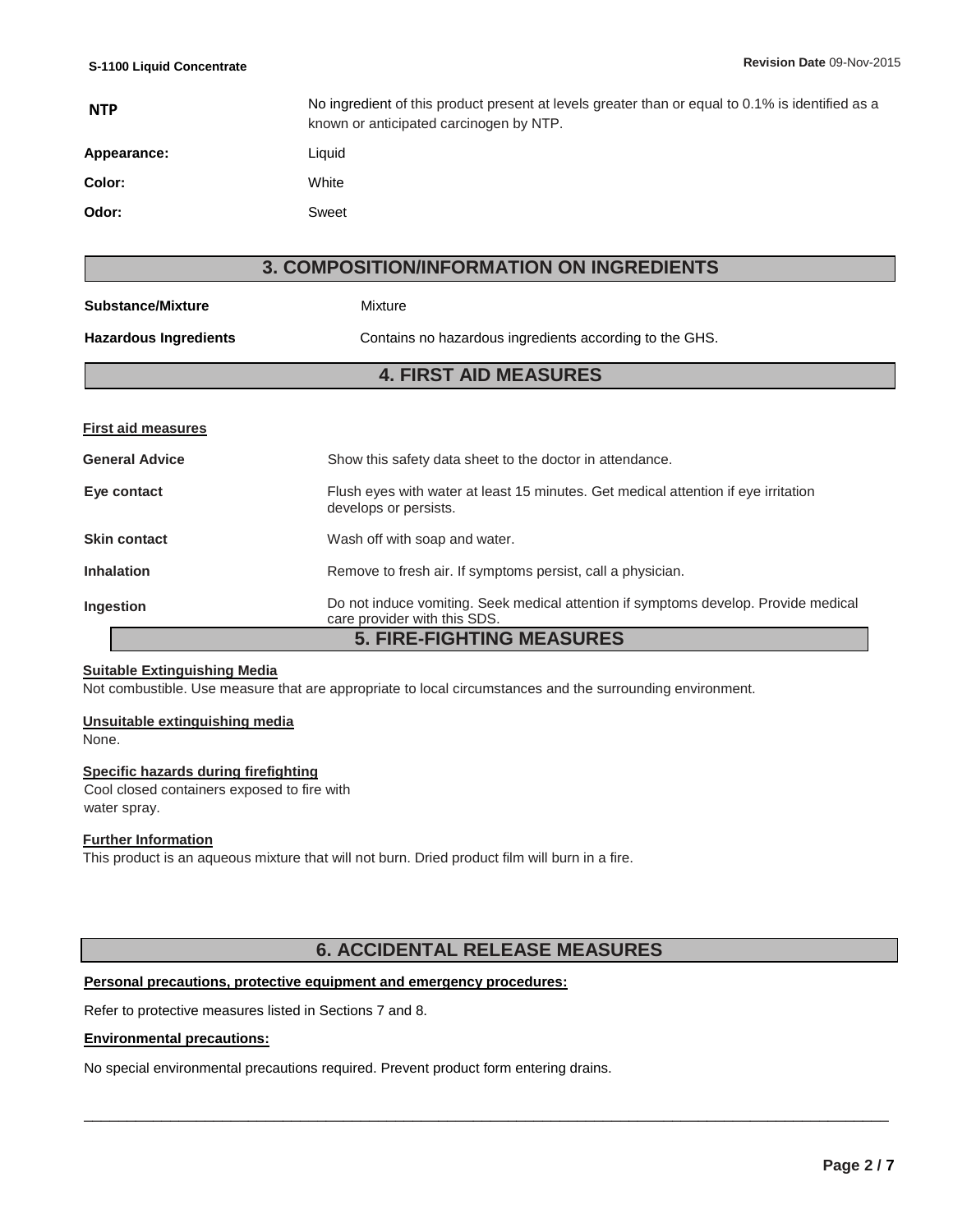| <b>NTP</b>  | No ingredient of this product present at levels greater than or equal to 0.1% is identified as a<br>known or anticipated carcinogen by NTP. |
|-------------|---------------------------------------------------------------------------------------------------------------------------------------------|
| Appearance: | Liquid                                                                                                                                      |
| Color:      | White                                                                                                                                       |
| Odor:       | Sweet                                                                                                                                       |

### **3. COMPOSITION/INFORMATION ON INGREDIENTS**

| <b>Substance/Mixture</b>         | Mixture                                                                                                             |  |
|----------------------------------|---------------------------------------------------------------------------------------------------------------------|--|
| <b>Hazardous Ingredients</b>     | Contains no hazardous ingredients according to the GHS.                                                             |  |
| <b>4. FIRST AID MEASURES</b>     |                                                                                                                     |  |
|                                  |                                                                                                                     |  |
| <b>First aid measures</b>        |                                                                                                                     |  |
| <b>General Advice</b>            | Show this safety data sheet to the doctor in attendance.                                                            |  |
| Eye contact                      | Flush eyes with water at least 15 minutes. Get medical attention if eye irritation<br>develops or persists.         |  |
| <b>Skin contact</b>              | Wash off with soap and water.                                                                                       |  |
| <b>Inhalation</b>                | Remove to fresh air. If symptoms persist, call a physician.                                                         |  |
| Ingestion                        | Do not induce vomiting. Seek medical attention if symptoms develop. Provide medical<br>care provider with this SDS. |  |
| <b>5. FIRE-FIGHTING MEASURES</b> |                                                                                                                     |  |

#### **Suitable Extinguishing Media**

Not combustible. Use measure that are appropriate to local circumstances and the surrounding environment.

#### **Unsuitable extinguishing media**

None.

#### **Specific hazards during firefighting**

Cool closed containers exposed to fire with water spray.

#### **Further Information**

This product is an aqueous mixture that will not burn. Dried product film will burn in a fire.

### **6. ACCIDENTAL RELEASE MEASURES**

\_\_\_\_\_\_\_\_\_\_\_\_\_\_\_\_\_\_\_\_\_\_\_\_\_\_\_\_\_\_\_\_\_\_\_\_\_\_\_\_\_\_\_\_\_\_\_\_\_\_\_\_\_\_\_\_\_\_\_\_\_\_\_\_\_\_\_\_\_\_\_\_\_\_\_\_\_\_\_\_\_\_\_\_\_\_\_\_\_\_\_\_\_

#### **Personal precautions, protective equipment and emergency procedures:**

Refer to protective measures listed in Sections 7 and 8.

#### **Environmental precautions:**

No special environmental precautions required. Prevent product form entering drains.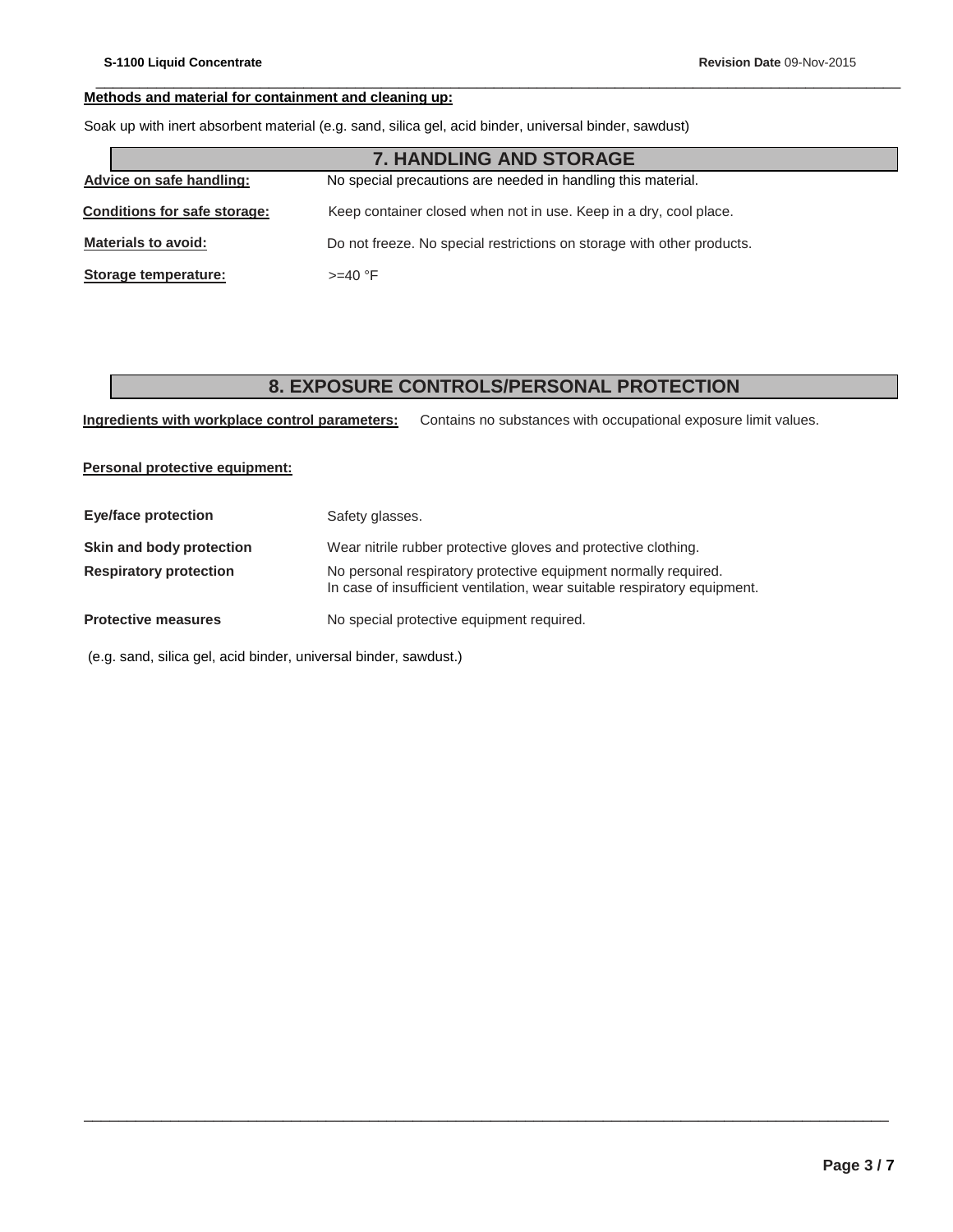### **Methods and material for containment and cleaning up:**

Soak up with inert absorbent material (e.g. sand, silica gel, acid binder, universal binder, sawdust)

|                                                                                          | <b>7. HANDLING AND STORAGE</b>                                         |
|------------------------------------------------------------------------------------------|------------------------------------------------------------------------|
| Advice on safe handling:<br>No special precautions are needed in handling this material. |                                                                        |
| <b>Conditions for safe storage:</b>                                                      | Keep container closed when not in use. Keep in a dry, cool place.      |
| <b>Materials to avoid:</b>                                                               | Do not freeze. No special restrictions on storage with other products. |
| Storage temperature:                                                                     | $>=$ 40 °F                                                             |

## **8. EXPOSURE CONTROLS/PERSONAL PROTECTION**

\_\_\_\_\_\_\_\_\_\_\_\_\_\_\_\_\_\_\_\_\_\_\_\_\_\_\_\_\_\_\_\_\_\_\_\_\_\_\_\_\_\_\_\_\_\_\_\_\_\_\_\_\_\_\_\_\_\_\_\_\_\_\_\_\_\_\_\_\_\_\_\_\_\_\_\_\_\_\_\_\_\_\_\_\_\_\_\_\_\_\_\_\_

\_\_\_\_\_\_\_\_\_\_\_\_\_\_\_\_\_\_\_\_\_\_\_\_\_\_\_\_\_\_\_\_\_\_\_\_\_\_\_\_\_\_\_\_\_\_\_\_\_\_\_\_\_\_\_\_\_\_\_\_\_\_\_\_\_\_\_\_\_\_\_\_\_\_\_\_\_\_\_\_\_\_\_\_\_\_\_\_\_\_\_\_\_

**Ingredients with workplace control parameters:** Contains no substances with occupational exposure limit values.

**Personal protective equipment:**

| <b>Eye/face protection</b>                                                                                                                                                    | Safety glasses.                                                |
|-------------------------------------------------------------------------------------------------------------------------------------------------------------------------------|----------------------------------------------------------------|
| Skin and body protection                                                                                                                                                      | Wear nitrile rubber protective gloves and protective clothing. |
| No personal respiratory protective equipment normally required.<br><b>Respiratory protection</b><br>In case of insufficient ventilation, wear suitable respiratory equipment. |                                                                |
| <b>Protective measures</b>                                                                                                                                                    | No special protective equipment required.                      |

(e.g. sand, silica gel, acid binder, universal binder, sawdust.)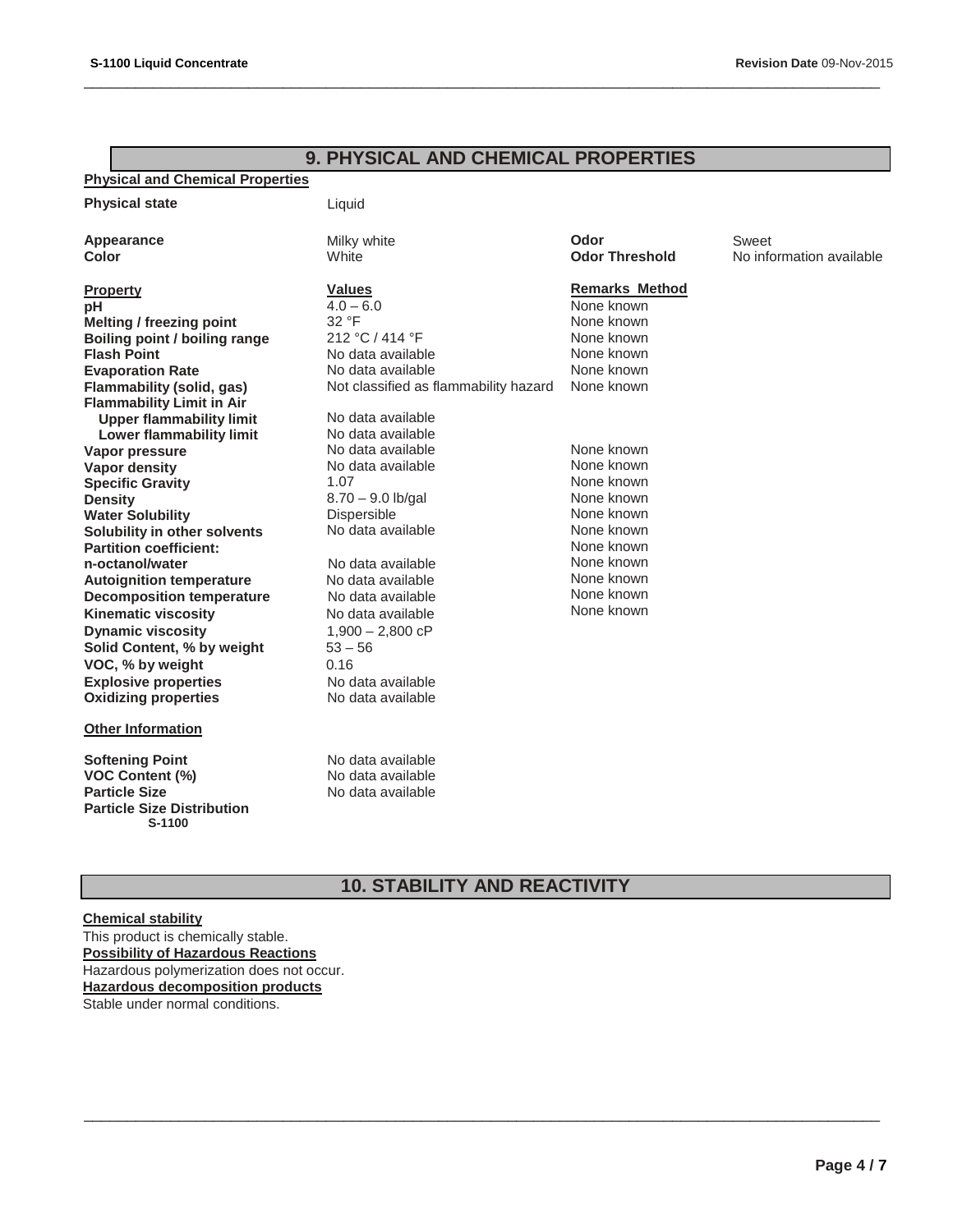# **9. PHYSICAL AND CHEMICAL PROPERTIES**

\_\_\_\_\_\_\_\_\_\_\_\_\_\_\_\_\_\_\_\_\_\_\_\_\_\_\_\_\_\_\_\_\_\_\_\_\_\_\_\_\_\_\_\_\_\_\_\_\_\_\_\_\_\_\_\_\_\_\_\_\_\_\_\_\_\_\_\_\_\_\_\_\_\_\_\_\_\_\_\_\_\_\_\_\_\_\_\_\_\_\_\_

#### **Physical and Chemical Properties**

| <b>Physical state</b>                       | Liquid                                |                       |                          |
|---------------------------------------------|---------------------------------------|-----------------------|--------------------------|
| Appearance                                  | Milky white                           | Odor                  | Sweet                    |
| Color                                       | White                                 | <b>Odor Threshold</b> | No information available |
| <b>Property</b>                             | <b>Values</b>                         | <b>Remarks Method</b> |                          |
| рH                                          | $4.0 - 6.0$                           | None known            |                          |
| <b>Melting / freezing point</b>             | 32 °F                                 | None known            |                          |
| Boiling point / boiling range               | 212 °C / 414 °F                       | None known            |                          |
| <b>Flash Point</b>                          | No data available                     | None known            |                          |
| <b>Evaporation Rate</b>                     | No data available                     | None known            |                          |
| Flammability (solid, gas)                   | Not classified as flammability hazard | None known            |                          |
| <b>Flammability Limit in Air</b>            |                                       |                       |                          |
| <b>Upper flammability limit</b>             | No data available                     |                       |                          |
| <b>Lower flammability limit</b>             | No data available                     |                       |                          |
| Vapor pressure                              | No data available                     | None known            |                          |
| <b>Vapor density</b>                        | No data available                     | None known            |                          |
| <b>Specific Gravity</b>                     | 1.07                                  | None known            |                          |
| <b>Density</b>                              | $8.70 - 9.0$ lb/gal                   | None known            |                          |
| <b>Water Solubility</b>                     | Dispersible                           | None known            |                          |
| Solubility in other solvents                | No data available                     | None known            |                          |
| <b>Partition coefficient:</b>               |                                       | None known            |                          |
| n-octanol/water                             | No data available                     | None known            |                          |
| <b>Autoignition temperature</b>             | No data available                     | None known            |                          |
| <b>Decomposition temperature</b>            | No data available                     | None known            |                          |
| <b>Kinematic viscosity</b>                  | No data available                     | None known            |                          |
| <b>Dynamic viscosity</b>                    | $1,900 - 2,800$ cP                    |                       |                          |
| Solid Content, % by weight                  | $53 - 56$                             |                       |                          |
| VOC, % by weight                            | 0.16                                  |                       |                          |
| <b>Explosive properties</b>                 | No data available                     |                       |                          |
| <b>Oxidizing properties</b>                 | No data available                     |                       |                          |
| <b>Other Information</b>                    |                                       |                       |                          |
| <b>Softening Point</b>                      | No data available                     |                       |                          |
| <b>VOC Content (%)</b>                      | No data available                     |                       |                          |
| <b>Particle Size</b>                        | No data available                     |                       |                          |
| <b>Particle Size Distribution</b><br>S-1100 |                                       |                       |                          |

# **10. STABILITY AND REACTIVITY**

\_\_\_\_\_\_\_\_\_\_\_\_\_\_\_\_\_\_\_\_\_\_\_\_\_\_\_\_\_\_\_\_\_\_\_\_\_\_\_\_\_\_\_\_\_\_\_\_\_\_\_\_\_\_\_\_\_\_\_\_\_\_\_\_\_\_\_\_\_\_\_\_\_\_\_\_\_\_\_\_\_\_\_\_\_\_\_\_\_\_\_\_

#### **Chemical stability**

This product is chemically stable. **Possibility of Hazardous Reactions**  Hazardous polymerization does not occur. **Hazardous decomposition products** Stable under normal conditions.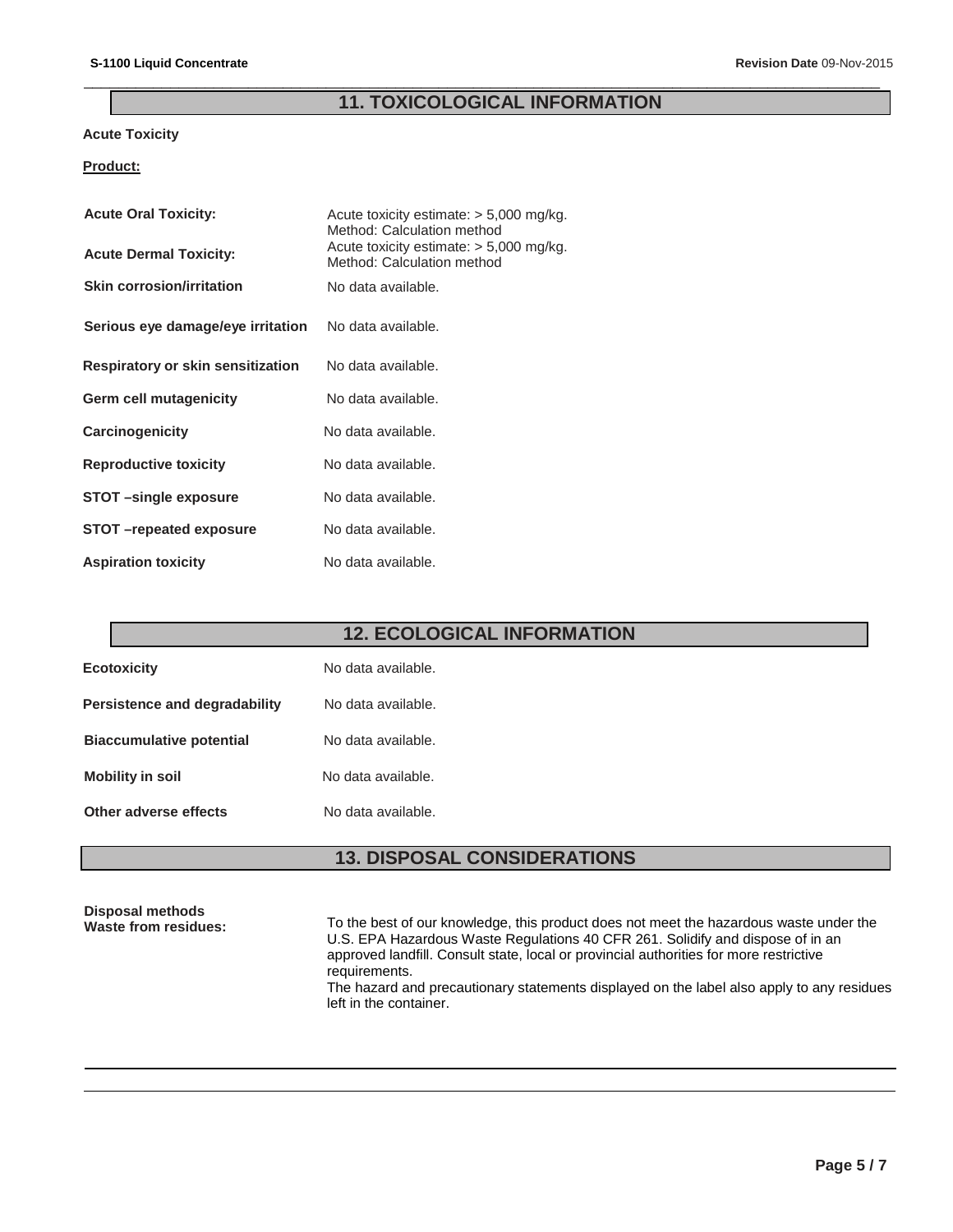# **11. TOXICOLOGICAL INFORMATION**

\_\_\_\_\_\_\_\_\_\_\_\_\_\_\_\_\_\_\_\_\_\_\_\_\_\_\_\_\_\_\_\_\_\_\_\_\_\_\_\_\_\_\_\_\_\_\_\_\_\_\_\_\_\_\_\_\_\_\_\_\_\_\_\_\_\_\_\_\_\_\_\_\_\_\_\_\_\_\_\_\_\_\_\_\_\_\_\_\_\_\_\_

### **Acute Toxicity**

### **Product:**

| <b>Acute Oral Toxicity:</b>       | Acute toxicity estimate: $> 5,000$ mg/kg.<br>Method: Calculation method |  |
|-----------------------------------|-------------------------------------------------------------------------|--|
| <b>Acute Dermal Toxicity:</b>     | Acute toxicity estimate: $> 5,000$ mg/kg.<br>Method: Calculation method |  |
| <b>Skin corrosion/irritation</b>  | No data available.                                                      |  |
| Serious eye damage/eye irritation | No data available.                                                      |  |
| Respiratory or skin sensitization | No data available.                                                      |  |
| <b>Germ cell mutagenicity</b>     | No data available.                                                      |  |
| Carcinogenicity                   | No data available.                                                      |  |
| <b>Reproductive toxicity</b>      | No data available.                                                      |  |
| STOT-single exposure              | No data available.                                                      |  |
| STOT-repeated exposure            | No data available.                                                      |  |
| <b>Aspiration toxicity</b>        | No data available.                                                      |  |

# **12. ECOLOGICAL INFORMATION**

| <b>Ecotoxicity</b>              | No data available. |
|---------------------------------|--------------------|
| Persistence and degradability   | No data available. |
| <b>Biaccumulative potential</b> | No data available. |
| <b>Mobility in soil</b>         | No data available. |
| Other adverse effects           | No data available. |

# **13. DISPOSAL CONSIDERATIONS**

| Disposal methods<br><b>Waste from residues:</b> | To the best of our knowledge, this product does not meet the hazardous waste under the<br>U.S. EPA Hazardous Waste Regulations 40 CFR 261. Solidify and dispose of in an<br>approved landfill. Consult state, local or provincial authorities for more restrictive<br>requirements. |
|-------------------------------------------------|-------------------------------------------------------------------------------------------------------------------------------------------------------------------------------------------------------------------------------------------------------------------------------------|
|                                                 | The hazard and precautionary statements displayed on the label also apply to any residues<br>left in the container.                                                                                                                                                                 |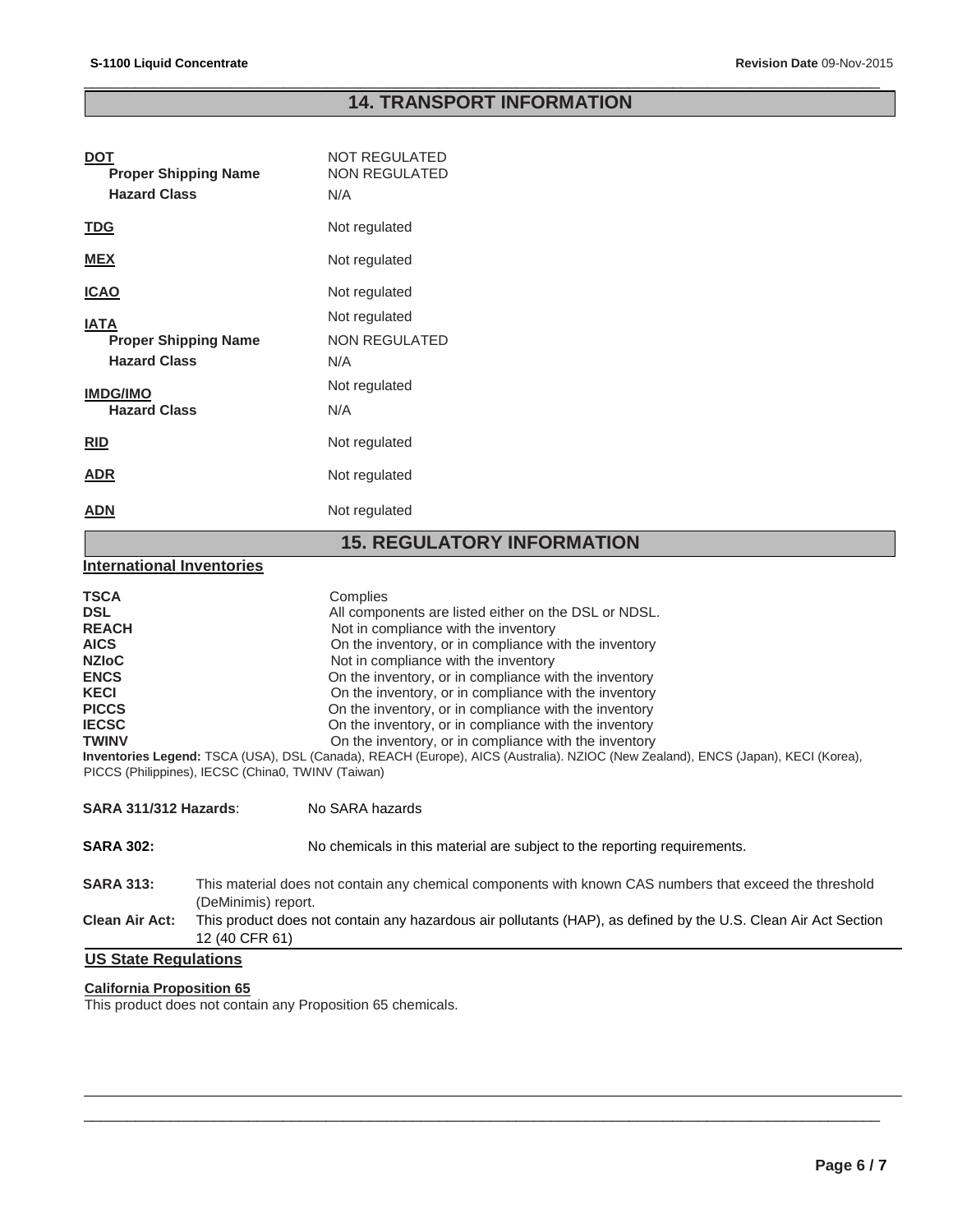### \_\_\_\_\_\_\_\_\_\_\_\_\_\_\_\_\_\_\_\_\_\_\_\_\_\_\_\_\_\_\_\_\_\_\_\_\_\_\_\_\_\_\_\_\_\_\_\_\_\_\_\_\_\_\_\_\_\_\_\_\_\_\_\_\_\_\_\_\_\_\_\_\_\_\_\_\_\_\_\_\_\_\_\_\_\_\_\_\_\_\_\_ **14. TRANSPORT INFORMATION**

| DOT<br><b>Proper Shipping Name</b><br><b>Hazard Class</b> | <b>NOT REGULATED</b><br><b>NON REGULATED</b><br>N/A |
|-----------------------------------------------------------|-----------------------------------------------------|
| TDG                                                       | Not regulated                                       |
| <b>MEX</b>                                                | Not regulated                                       |
| <b>ICAO</b>                                               | Not regulated                                       |
| <b>IATA</b>                                               | Not regulated                                       |
| <b>Proper Shipping Name</b>                               | <b>NON REGULATED</b>                                |
| <b>Hazard Class</b>                                       | N/A                                                 |
| <b>IMDG/IMO</b>                                           | Not regulated                                       |
| <b>Hazard Class</b>                                       | N/A                                                 |
| RID                                                       | Not regulated                                       |
| ADR                                                       | Not regulated                                       |
| ADN                                                       | Not regulated                                       |

# **15. REGULATORY INFORMATION**

### **International Inventories**

| <b>TSCA</b>                                        | Complies                                                                                                                         |
|----------------------------------------------------|----------------------------------------------------------------------------------------------------------------------------------|
| <b>DSL</b>                                         | All components are listed either on the DSL or NDSL.                                                                             |
| <b>REACH</b>                                       | Not in compliance with the inventory                                                                                             |
| <b>AICS</b>                                        | On the inventory, or in compliance with the inventory                                                                            |
| <b>NZIoC</b>                                       | Not in compliance with the inventory                                                                                             |
| <b>ENCS</b>                                        | On the inventory, or in compliance with the inventory                                                                            |
| <b>KECI</b>                                        | On the inventory, or in compliance with the inventory                                                                            |
| <b>PICCS</b>                                       | On the inventory, or in compliance with the inventory                                                                            |
| <b>IECSC</b>                                       | On the inventory, or in compliance with the inventory                                                                            |
| <b>TWINV</b>                                       | On the inventory, or in compliance with the inventory                                                                            |
|                                                    | Inventories Legend: TSCA (USA), DSL (Canada), REACH (Europe), AICS (Australia). NZIOC (New Zealand), ENCS (Japan), KECI (Korea), |
| PICCS (Philippines), IECSC (China0, TWINV (Taiwan) |                                                                                                                                  |

| SARA 311/312 Hazards:       |                                                                                                                                  | No SARA hazards                                                          |  |
|-----------------------------|----------------------------------------------------------------------------------------------------------------------------------|--------------------------------------------------------------------------|--|
| <b>SARA 302:</b>            |                                                                                                                                  | No chemicals in this material are subject to the reporting requirements. |  |
| <b>SARA 313:</b>            | This material does not contain any chemical components with known CAS numbers that exceed the threshold<br>(DeMinimis) report.   |                                                                          |  |
| <b>Clean Air Act:</b>       | This product does not contain any hazardous air pollutants (HAP), as defined by the U.S. Clean Air Act Section<br>12 (40 CFR 61) |                                                                          |  |
| <b>US State Regulations</b> |                                                                                                                                  |                                                                          |  |

\_\_\_\_\_\_\_\_\_\_\_\_\_\_\_\_\_\_\_\_\_\_\_\_\_\_\_\_\_\_\_\_\_\_\_\_\_\_\_\_\_\_\_\_\_\_\_\_\_\_\_\_\_\_\_\_\_\_\_\_\_\_\_\_\_\_\_\_\_\_\_\_\_\_\_\_\_\_\_\_\_\_\_\_\_\_\_\_\_\_\_\_

# **California Proposition 65**

This product does not contain any Proposition 65 chemicals.